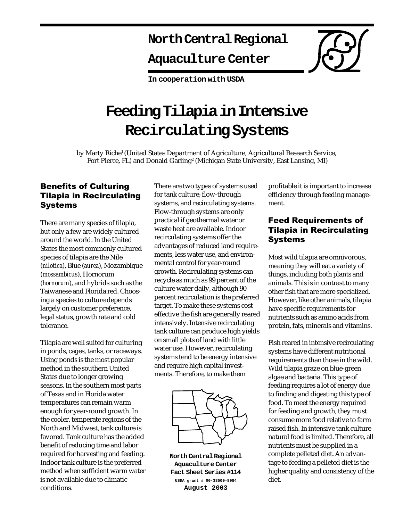# **North Central Regional**

# **Aquaculture Center**

**In cooperation with USDA**

# **Feeding Tilapia in Intensive Recirculating Systems**

by Marty Riche<sup>1</sup> (United States Department of Agriculture, Agricultural Research Service, Fort Pierce, FL) and Donald Garling2 (Michigan State University, East Lansing, MI)

### Benefits of Culturing Tilapia in Recirculating Systems

There are many species of tilapia, but only a few are widely cultured around the world. In the United States the most commonly cultured species of tilapia are the Nile (*nilotica*), Blue (*aurea*), Mozambique (*mossambicus*), Hornorum (*hornorum*), and hybrids such as the Taiwanese and Florida red. Choosing a species to culture depends largely on customer preference, legal status, growth rate and cold tolerance.

Tilapia are well suited for culturing in ponds, cages, tanks, or raceways. Using ponds is the most popular method in the southern United States due to longer growing seasons. In the southern most parts of Texas and in Florida water temperatures can remain warm enough for year-round growth. In the cooler, temperate regions of the North and Midwest, tank culture is favored. Tank culture has the added benefit of reducing time and labor required for harvesting and feeding. Indoor tank culture is the preferred method when sufficient warm water is not available due to climatic conditions.

There are two types of systems used for tank culture; flow-through systems, and recirculating systems. Flow-through systems are only practical if geothermal water or waste heat are available. Indoor recirculating systems offer the advantages of reduced land requirements, less water use, and environmental control for year-round growth. Recirculating systems can recycle as much as 99 percent of the culture water daily, although 90 percent recirculation is the preferred target. To make these systems cost effective the fish are generally reared intensively. Intensive recirculating tank culture can produce high yields on small plots of land with little water use. However, recirculating systems tend to be energy intensive and require high capital investments. Therefore, to make them



**North Central Regional Aquaculture Center Fact Sheet Series #114 USDA grant # 00-38500-8984 August 2003**

profitable it is important to increase efficiency through feeding management.

## Feed Requirements of Tilapia in Recirculating Systems

Most wild tilapia are omnivorous, meaning they will eat a variety of things, including both plants and animals. This is in contrast to many other fish that are more specialized. However, like other animals, tilapia have specific requirements for nutrients such as amino acids from protein, fats, minerals and vitamins.

Fish reared in intensive recirculating systems have different nutritional requirements than those in the wild. Wild tilapia graze on blue-green algae and bacteria. This type of feeding requires a lot of energy due to finding and digesting this type of food. To meet the energy required for feeding and growth, they must consume more food relative to farm raised fish. In intensive tank culture natural food is limited. Therefore, all nutrients must be supplied in a complete pelleted diet. An advantage to feeding a pelleted diet is the higher quality and consistency of the diet.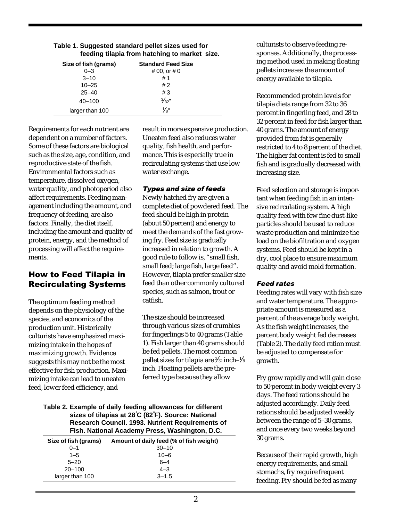| feeding tilapia from hatching to market size. |                           |
|-----------------------------------------------|---------------------------|
| Size of fish (grams)                          | <b>Standard Feed Size</b> |
| $0 - 3$                                       | # 00, or # 0              |
| $3 - 10$                                      | #1                        |
| $10 - 25$                                     | #2                        |
| $25 - 40$                                     | #3                        |
| $40 - 100$                                    | $\frac{3}{32}$ "          |
| larger than 100                               | $\frac{1}{8}$ "           |

**Table 1. Suggested standard pellet sizes used for**

Requirements for each nutrient are dependent on a number of factors. Some of these factors are biological such as the size, age, condition, and reproductive state of the fish. Environmental factors such as temperature, dissolved oxygen, water quality, and photoperiod also affect requirements. Feeding management including the amount, and frequency of feeding, are also factors. Finally, the diet itself, including the amount and quality of protein, energy, and the method of processing will affect the requirements.

## How to Feed Tilapia in Recirculating Systems

The optimum feeding method depends on the physiology of the species, and economics of the production unit. Historically culturists have emphasized maximizing intake in the hopes of maximizing growth. Evidence suggests this may not be the most effective for fish production. Maximizing intake can lead to uneaten feed, lower feed efficiency, and

result in more expensive production. Uneaten feed also reduces water quality, fish health, and performance. This is especially true in recirculating systems that use low water exchange.

#### Types and size of feeds

Newly hatched fry are given a complete diet of powdered feed. The feed should be high in protein (about 50 percent) and energy to meet the demands of the fast growing fry. Feed size is gradually increased in relation to growth. A good rule to follow is, "small fish, small feed; large fish, large feed". However, tilapia prefer smaller size feed than other commonly cultured species, such as salmon, trout or catfish.

The size should be increased through various sizes of crumbles for fingerlings 5 to 40 grams (Table 1). Fish larger than 40 grams should be fed pellets. The most common pellet sizes for tilapia are ¾2 inch–¼ inch. Floating pellets are the preferred type because they allow

**Table 2. Example of daily feeding allowances for different sizes of tilapias at 28**° **C (82**° **F). Source: National Research Council. 1993. Nutrient Requirements of Fish. National Academy Press, Washington, D.C.**

| Amount of daily feed (% of fish weight) |
|-----------------------------------------|
| $30 - 10$                               |
| $10 - 6$                                |
| $6 - 4$                                 |
| $4 - 3$                                 |
| $3 - 1.5$                               |
|                                         |

culturists to observe feeding responses. Additionally, the processing method used in making floating pellets increases the amount of energy available to tilapia.

Recommended protein levels for tilapia diets range from 32 to 36 percent in fingerling feed, and 28 to 32 percent in feed for fish larger than 40 grams. The amount of energy provided from fat is generally restricted to 4 to 8 percent of the diet. The higher fat content is fed to small fish and is gradually decreased with increasing size.

Feed selection and storage is important when feeding fish in an intensive recirculating system. A high quality feed with few fine dust-like particles should be used to reduce waste production and minimize the load on the biofiltration and oxygen systems. Feed should be kept in a dry, cool place to ensure maximum quality and avoid mold formation.

#### Feed rates

Feeding rates will vary with fish size and water temperature. The appropriate amount is measured as a percent of the average body weight. As the fish weight increases, the percent body weight fed decreases (Table 2). The daily feed ration must be adjusted to compensate for growth.

Fry grow rapidly and will gain close to 50 percent in body weight every 3 days. The feed rations should be adjusted accordingly. Daily feed rations should be adjusted weekly between the range of 5–30 grams, and once every two weeks beyond 30 grams.

Because of their rapid growth, high energy requirements, and small stomachs, fry require frequent feeding. Fry should be fed as many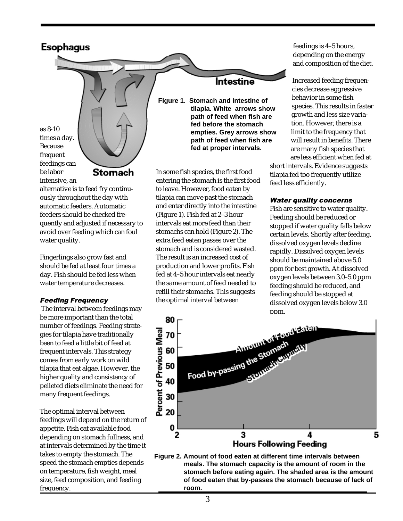

as 8-10 times a day. Because frequent feedings can be labor intensive, an

Stomach

alternative is to feed fry continuously throughout the day with automatic feeders. Automatic feeders should be checked frequently and adjusted if necessary to avoid over feeding which can foul water quality.

Fingerlings also grow fast and should be fed at least four times a day. Fish should be fed less when water temperature decreases.

#### Feeding Frequency

 The interval between feedings may be more important than the total number of feedings. Feeding strategies for tilapia have traditionally been to feed a little bit of feed at frequent intervals. This strategy comes from early work on wild tilapia that eat algae. However, the higher quality and consistency of pelleted diets eliminate the need for many frequent feedings.

The optimal interval between feedings will depend on the return of appetite. Fish eat available food depending on stomach fullness, and at intervals determined by the time it takes to empty the stomach. The speed the stomach empties depends on temperature, fish weight, meal size, feed composition, and feeding frequency.

# **Intestine**

**Figure 1. Stomach and intestine of tilapia. White arrows show path of feed when fish are fed before the stomach empties. Grey arrows show path of feed when fish are fed at proper intervals.**

In some fish species, the first food entering the stomach is the first food to leave. However, food eaten by tilapia can move past the stomach and enter directly into the intestine (Figure 1). Fish fed at 2–3 hour intervals eat more feed than their stomachs can hold (Figure 2). The extra feed eaten passes over the stomach and is considered wasted. The result is an increased cost of production and lower profits. Fish fed at 4–5 hour intervals eat nearly the same amount of feed needed to refill their stomachs. This suggests the optimal interval between

feedings is 4–5 hours, depending on the energy and composition of the diet.

Increased feeding frequencies decrease aggressive behavior in some fish species. This results in faster growth and less size variation. However, there is a limit to the frequency that will result in benefits. There are many fish species that are less efficient when fed at short intervals. Evidence suggests

tilapia fed too frequently utilize feed less efficiently.

#### Water quality concerns

Fish are sensitive to water quality. Feeding should be reduced or stopped if water quality falls below certain levels. Shortly after feeding, dissolved oxygen levels decline rapidly. Dissolved oxygen levels should be maintained above 5.0 ppm for best growth. At dissolved oxygen levels between 3.0–5.0 ppm feeding should be reduced, and feeding should be stopped at dissolved oxygen levels below 3.0 ppm.